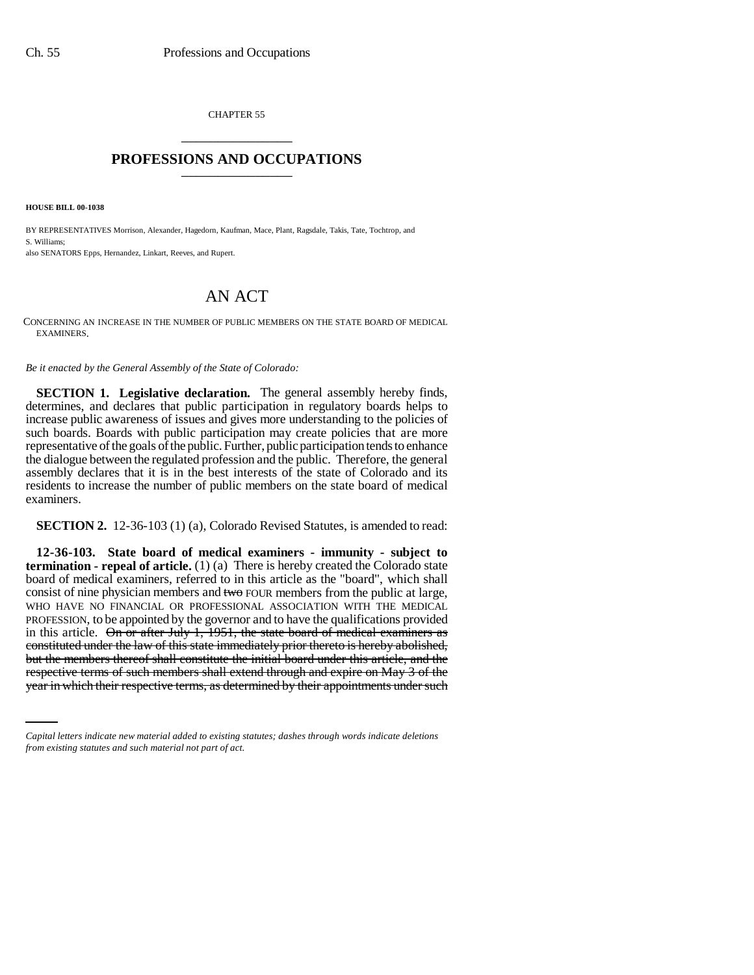CHAPTER 55 \_\_\_\_\_\_\_\_\_\_\_\_\_\_\_

## **PROFESSIONS AND OCCUPATIONS** \_\_\_\_\_\_\_\_\_\_\_\_\_\_\_

**HOUSE BILL 00-1038** 

BY REPRESENTATIVES Morrison, Alexander, Hagedorn, Kaufman, Mace, Plant, Ragsdale, Takis, Tate, Tochtrop, and S. Williams; also SENATORS Epps, Hernandez, Linkart, Reeves, and Rupert.

## AN ACT

CONCERNING AN INCREASE IN THE NUMBER OF PUBLIC MEMBERS ON THE STATE BOARD OF MEDICAL EXAMINERS.

*Be it enacted by the General Assembly of the State of Colorado:*

**SECTION 1. Legislative declaration.** The general assembly hereby finds, determines, and declares that public participation in regulatory boards helps to increase public awareness of issues and gives more understanding to the policies of such boards. Boards with public participation may create policies that are more representative of the goals of the public. Further, public participation tends to enhance the dialogue between the regulated profession and the public. Therefore, the general assembly declares that it is in the best interests of the state of Colorado and its residents to increase the number of public members on the state board of medical examiners.

**SECTION 2.** 12-36-103 (1) (a), Colorado Revised Statutes, is amended to read:

but the members thereof shall constitute the initial board under this article, and the **12-36-103. State board of medical examiners - immunity - subject to termination - repeal of article.** (1) (a) There is hereby created the Colorado state board of medical examiners, referred to in this article as the "board", which shall consist of nine physician members and two FOUR members from the public at large, WHO HAVE NO FINANCIAL OR PROFESSIONAL ASSOCIATION WITH THE MEDICAL PROFESSION, to be appointed by the governor and to have the qualifications provided in this article. On or after July 1, 1951, the state board of medical examiners as constituted under the law of this state immediately prior thereto is hereby abolished, respective terms of such members shall extend through and expire on May 3 of the year in which their respective terms, as determined by their appointments under such

*Capital letters indicate new material added to existing statutes; dashes through words indicate deletions from existing statutes and such material not part of act.*